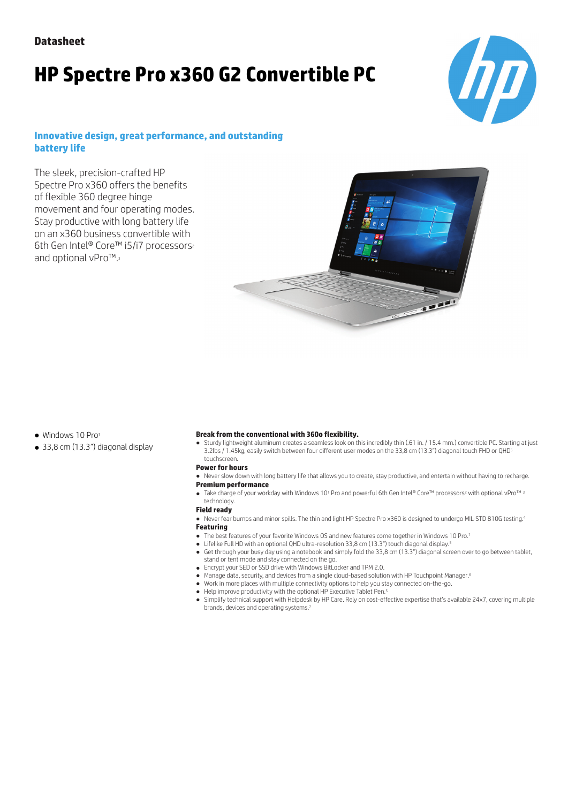# **HP Spectre Pro x360 G2 Convertible PC**



### **Innovative design, great performance, and outstanding battery life**

The sleek, precision-crafted HP Spectre Pro x360 offers the benefits of flexible 360 degree hinge movement and four operating modes. Stay productive with long battery life on an x360 business convertible with 6th Gen Intel® Core™ i5/i7 processors<sup>2</sup> and optional vPro™.<sup>3</sup>



- Windows 10 Pro1
- 33,8 cm (13.3") diagonal display

### **Break from the conventional with 360o flexibility.**

● Sturdy lightweight aluminum creates a seamless look on this incredibly thin (.61 in. / 15.4 mm.) convertible PC. Starting at just 3.2lbs / 1.45kg, easily switch between four different user modes on the 33,8 cm (13.3") diagonal touch FHD or QHD<sup>5</sup> touchscreen.

### **Power for hours**

● Never slow down with long battery life that allows you to create, stay productive, and entertain without having to recharge.

### **Premium performance**

● Take charge of your workday with Windows 10<sup>1</sup> Pro and powerful 6th Gen Intel® Core™ processors<sup>2</sup> with optional vPro™ <sup>3</sup>

#### technology. **Field ready**

● Never fear bumps and minor spills. The thin and light HP Spectre Pro x360 is designed to undergo MIL-STD 810G testing.<sup>4</sup>

### **Featuring**

- The best features of your favorite Windows OS and new features come together in Windows 10 Pro.1
- Lifelike Full HD with an optional QHD ultra-resolution 33,8 cm (13.3") touch diagonal display.<sup>5</sup>
- Get through your busy day using a notebook and simply fold the 33,8 cm (13.3") diagonal screen over to go between tablet, stand or tent mode and stay connected on the go.
- Encrypt your SED or SSD drive with Windows BitLocker and TPM 2.0.
- Manage data, security, and devices from a single cloud-based solution with HP Touchpoint Manager.<sup>6</sup>
- Work in more places with multiple connectivity options to help you stay connected on-the-go.
- Help improve productivity with the optional HP Executive Tablet Pen.5
- Simplify technical support with Helpdesk by HP Care. Rely on cost-effective expertise that's available 24x7, covering multiple brands, devices and operating systems.<sup>7</sup>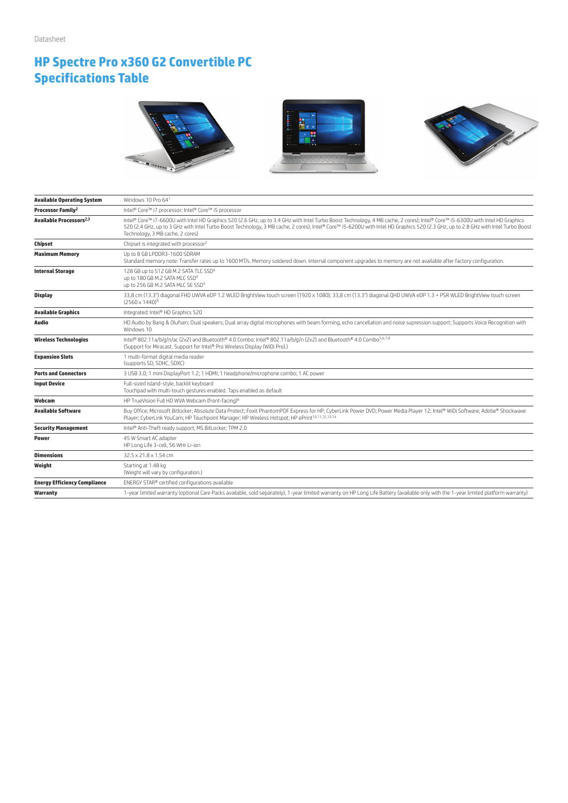# **HP Spectre Pro x360 G2 Convertible PC Specifications Table**







| <b>Available Operating System</b>   | Windows 10 Pro 641                                                                                                                                                                                                                                                                                                                                                                                       |
|-------------------------------------|----------------------------------------------------------------------------------------------------------------------------------------------------------------------------------------------------------------------------------------------------------------------------------------------------------------------------------------------------------------------------------------------------------|
| Processor Family <sup>2</sup>       | Intel® Core™ i7 processor; Intel® Core™ i5 processor                                                                                                                                                                                                                                                                                                                                                     |
| Available Processors <sup>2,3</sup> | Intel® Core™ i7-6600U with Intel HD Graphics 520 (2.6 GHz, up to 3.4 GHz with Intel Turbo Boost Technology, 4 MB cache, 2 cores); Intel® Core™ i5-6300U with Intel HD Graphics<br>520 (2.4 GHz, up to 3 GHz with Intel Turbo Boost Technology, 3 MB cache, 2 cores); Intel® Core™ i5-6200U with Intel HD Graphics 520 (2.3 GHz, up to 2.8 GHz with Intel Turbo Boost<br>Technology, 3 MB cache, 2 cores) |
| Chipset                             | Chipset is integrated with processor <sup>2</sup>                                                                                                                                                                                                                                                                                                                                                        |
| <b>Maximum Memory</b>               | Up to 8 GB LPDDR3-1600 SDRAM<br>Standard memory note: Transfer rates up to 1600 MT/s. Memory soldered down. Internal component upgrades to memory are not available after factory configuration.                                                                                                                                                                                                         |
| <b>Internal Storage</b>             | 128 GB up to 512 GB M.2 SATA TLC SSD <sup>4</sup><br>up to 180 GB M.2 SATA MLC SSD <sup>4</sup><br>up to 256 GB M.2 SATA MLC SE SSD <sup>4</sup>                                                                                                                                                                                                                                                         |
| <b>Display</b>                      | 33,8 cm (13.3") diagonal FHD UWVA eDP 1.2 WLED BrightView touch screen (1920 x 1080); 33,8 cm (13.3") diagonal QHD UWVA eDP 1.3 + PSR WLED BrightView touch screen<br>$(2560 \times 1440)^9$                                                                                                                                                                                                             |
| <b>Available Graphics</b>           | Integrated: Intel® HD Graphics 520                                                                                                                                                                                                                                                                                                                                                                       |
| Audio                               | HD Audio by Bang & Olufsen; Dual speakers; Dual array digital microphones with beam forming, echo cancellation and noise supression support; Supports Voice Recognition with<br>Windows 10                                                                                                                                                                                                               |
| <b>Wireless Technologies</b>        | Intel® 802.11a/b/g/n/ac (2x2) and Bluetooth® 4.0 Combo; Intel® 802.11a/b/g/n (2x2) and Bluetooth® 4.0 Combo <sup>5,6,7,8</sup><br>(Support for Miracast. Support for Intel® Pro Wireless Display (WiDi Pro).)                                                                                                                                                                                            |
| <b>Expansion Slots</b>              | 1 multi-format digital media reader<br>(supports SD, SDHC, SDXC)                                                                                                                                                                                                                                                                                                                                         |
| <b>Ports and Connectors</b>         | 3 USB 3.0; 1 mini DisplayPort 1.2; 1 HDMI; 1 headphone/microphone combo; 1 AC power                                                                                                                                                                                                                                                                                                                      |
| <b>Input Device</b>                 | Full-sized island-style, backlit keyboard<br>Touchpad with multi-touch gestures enabled. Taps enabled as default                                                                                                                                                                                                                                                                                         |
| Webcam                              | HP TrueVision Full HD WVA Webcam (front-facing) <sup>9</sup>                                                                                                                                                                                                                                                                                                                                             |
| Available Software                  | Buy Office; Microsoft Bitlocker; Absolute Data Protect; Foxit PhantomPDF Express for HP; CyberLink Power DVD; Power Media Player 12; Intel® WiDi Software; Adobe® Shockwave<br>Player; CyberLink YouCam; HP Touchpoint Manager; HP Wireless Hotspot; HP ePrint <sup>10,11,12,13,14</sup>                                                                                                                 |
| <b>Security Management</b>          | Intel® Anti-Theft ready support; MS BitLocker; TPM 2.0                                                                                                                                                                                                                                                                                                                                                   |
| <b>Power</b>                        | 45 W Smart AC adapter<br>HP Long Life 3-cell, 56 WHr Li-ion                                                                                                                                                                                                                                                                                                                                              |
| <b>Dimensions</b>                   | 32.5 x 21.8 x 1.54 cm                                                                                                                                                                                                                                                                                                                                                                                    |
| Weight                              | Starting at 1.48 kg<br>(Weight will vary by configuration.)                                                                                                                                                                                                                                                                                                                                              |
| <b>Energy Efficiency Compliance</b> | ENERGY STAR® certified configurations available                                                                                                                                                                                                                                                                                                                                                          |
| Warranty                            | 1-year limited warranty (optional Care Packs available, sold separately), 1-year limited warranty on HP Long Life Battery (available only with the 1-year limited platform warranty)                                                                                                                                                                                                                     |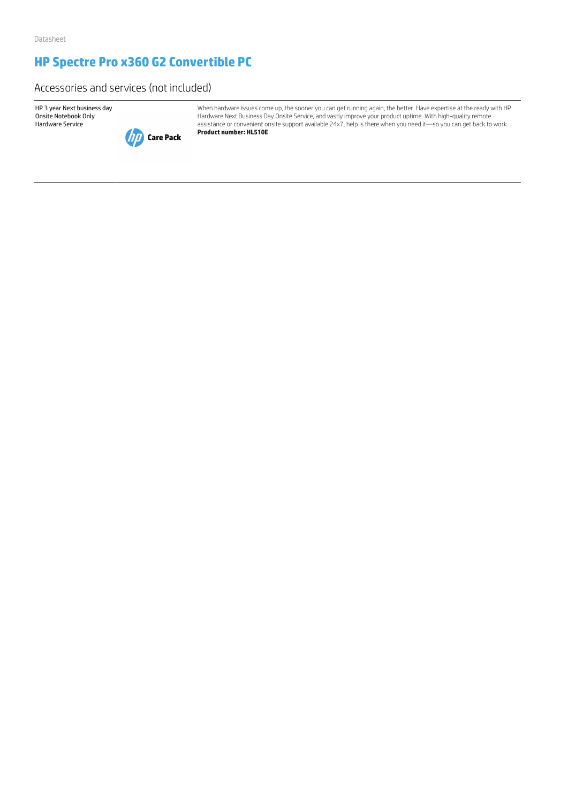# **HP Spectre Pro x360 G2 Convertible PC**

Accessories and services (not included)

HP 3 year Next business day Onsite Notebook Only Hardware Service



When hardware issues come up, the sooner you can get running again, the better. Have expertise at the ready with HP Hardware Next Business Day Onsite Service, and vastly improve your product uptime. With high-quality remote assistance or convenient onsite support available 24x7, help is there when you need it—so you can get back to work. **Product number: HL510E**